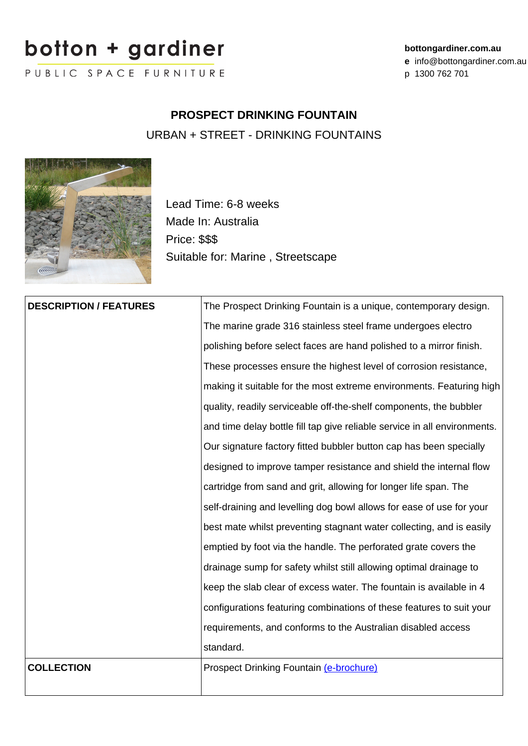## botton + garainer

PUBLIC SPACE FURNITURE

## **bottongardiner.com.au**

**e** info@bottongardiner.com.au

p 1300 762 701

## **PROSPECT DRINKING FOUNTAIN**

URBAN + STREET - DRINKING FOUNTAINS



Lead Time: 6-8 weeks Made In: Australia Price: \$\$\$ Suitable for: Marine , Streetscape

| <b>DESCRIPTION / FEATURES</b> | The Prospect Drinking Fountain is a unique, contemporary design.          |
|-------------------------------|---------------------------------------------------------------------------|
|                               | The marine grade 316 stainless steel frame undergoes electro              |
|                               | polishing before select faces are hand polished to a mirror finish.       |
|                               | These processes ensure the highest level of corrosion resistance,         |
|                               | making it suitable for the most extreme environments. Featuring high      |
|                               | quality, readily serviceable off-the-shelf components, the bubbler        |
|                               | and time delay bottle fill tap give reliable service in all environments. |
|                               | Our signature factory fitted bubbler button cap has been specially        |
|                               | designed to improve tamper resistance and shield the internal flow        |
|                               | cartridge from sand and grit, allowing for longer life span. The          |
|                               | self-draining and levelling dog bowl allows for ease of use for your      |
|                               | best mate whilst preventing stagnant water collecting, and is easily      |
|                               | emptied by foot via the handle. The perforated grate covers the           |
|                               | drainage sump for safety whilst still allowing optimal drainage to        |
|                               | keep the slab clear of excess water. The fountain is available in 4       |
|                               | configurations featuring combinations of these features to suit your      |
|                               | requirements, and conforms to the Australian disabled access              |
|                               | standard.                                                                 |
| <b>COLLECTION</b>             | Prospect Drinking Fountain (e-brochure)                                   |
|                               |                                                                           |